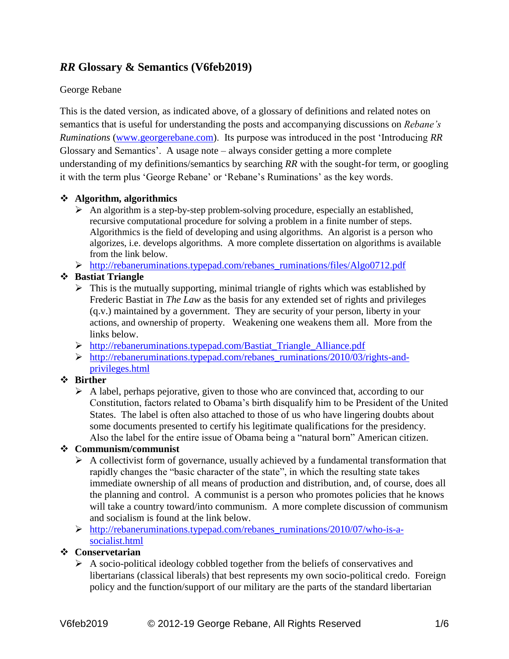# *RR* **Glossary & Semantics (V6feb2019)**

#### George Rebane

This is the dated version, as indicated above, of a glossary of definitions and related notes on semantics that is useful for understanding the posts and accompanying discussions on *Rebane's Ruminations* [\(www.georgerebane.com\)](http://www.georgerebane.com/). Its purpose was introduced in the post 'Introducing *RR* Glossary and Semantics'. A usage note – always consider getting a more complete understanding of my definitions/semantics by searching *RR* with the sought-for term, or googling it with the term plus 'George Rebane' or 'Rebane's Ruminations' as the key words.

#### ❖ **Algorithm, algorithmics**

- $\triangleright$  An algorithm is a step-by-step problem-solving procedure, especially an established, recursive computational procedure for solving a problem in a finite number of steps. Algorithmics is the field of developing and using algorithms. An algorist is a person who algorizes, i.e. develops algorithms. A more complete dissertation on algorithms is available from the link below.
- ➢ [http://rebaneruminations.typepad.com/rebanes\\_ruminations/files/Algo0712.pdf](http://rebaneruminations.typepad.com/rebanes_ruminations/files/Algo0712.pdf)

### ❖ **Bastiat Triangle**

- $\triangleright$  This is the mutually supporting, minimal triangle of rights which was established by Frederic Bastiat in *The Law* as the basis for any extended set of rights and privileges (q.v.) maintained by a government. They are security of your person, liberty in your actions, and ownership of property. Weakening one weakens them all. More from the links below.
- ➢ [http://rebaneruminations.typepad.com/Bastiat\\_Triangle\\_Alliance.pdf](http://rebaneruminations.typepad.com/Bastiat_Triangle_Alliance.pdf)
- ➢ [http://rebaneruminations.typepad.com/rebanes\\_ruminations/2010/03/rights-and](http://rebaneruminations.typepad.com/rebanes_ruminations/2010/03/rights-and-privileges.html)[privileges.html](http://rebaneruminations.typepad.com/rebanes_ruminations/2010/03/rights-and-privileges.html)

#### ❖ **Birther**

 $\triangleright$  A label, perhaps pejorative, given to those who are convinced that, according to our Constitution, factors related to Obama's birth disqualify him to be President of the United States. The label is often also attached to those of us who have lingering doubts about some documents presented to certify his legitimate qualifications for the presidency. Also the label for the entire issue of Obama being a "natural born" American citizen.

#### ❖ **Communism/communist**

- $\triangleright$  A collectivist form of governance, usually achieved by a fundamental transformation that rapidly changes the "basic character of the state", in which the resulting state takes immediate ownership of all means of production and distribution, and, of course, does all the planning and control. A communist is a person who promotes policies that he knows will take a country toward/into communism. A more complete discussion of communism and socialism is found at the link below.
- ➢ [http://rebaneruminations.typepad.com/rebanes\\_ruminations/2010/07/who-is-a](http://rebaneruminations.typepad.com/rebanes_ruminations/2010/07/who-is-a-socialist.html)[socialist.html](http://rebaneruminations.typepad.com/rebanes_ruminations/2010/07/who-is-a-socialist.html)

### ❖ **Conservetarian**

 $\triangleright$  A socio-political ideology cobbled together from the beliefs of conservatives and libertarians (classical liberals) that best represents my own socio-political credo. Foreign policy and the function/support of our military are the parts of the standard libertarian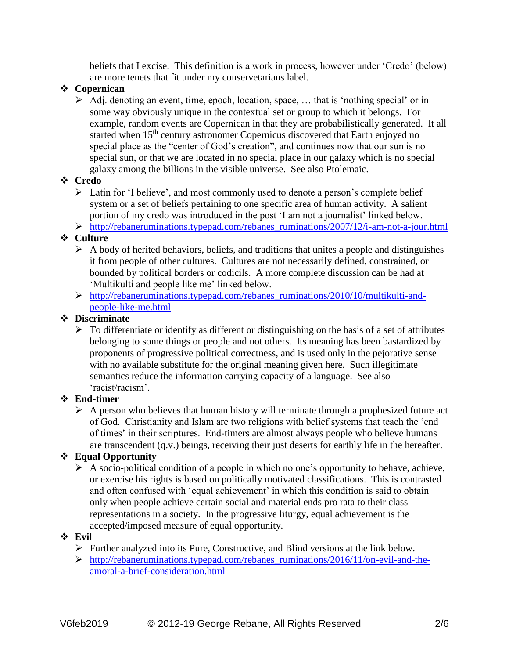beliefs that I excise. This definition is a work in process, however under 'Credo' (below) are more tenets that fit under my conservetarians label.

### ❖ **Copernican**

➢ Adj. denoting an event, time, epoch, location, space, … that is 'nothing special' or in some way obviously unique in the contextual set or group to which it belongs. For example, random events are Copernican in that they are probabilistically generated. It all started when 15<sup>th</sup> century astronomer Copernicus discovered that Earth enjoyed no special place as the "center of God's creation", and continues now that our sun is no special sun, or that we are located in no special place in our galaxy which is no special galaxy among the billions in the visible universe. See also Ptolemaic.

#### ❖ **Credo**

- ➢ Latin for 'I believe', and most commonly used to denote a person's complete belief system or a set of beliefs pertaining to one specific area of human activity. A salient portion of my credo was introduced in the post 'I am not a journalist' linked below.
- ➢ [http://rebaneruminations.typepad.com/rebanes\\_ruminations/2007/12/i-am-not-a-jour.html](http://rebaneruminations.typepad.com/rebanes_ruminations/2007/12/i-am-not-a-jour.html)

### ❖ **Culture**

- $\triangleright$  A body of herited behaviors, beliefs, and traditions that unites a people and distinguishes it from people of other cultures. Cultures are not necessarily defined, constrained, or bounded by political borders or codicils. A more complete discussion can be had at 'Multikulti and people like me' linked below.
- ➢ [http://rebaneruminations.typepad.com/rebanes\\_ruminations/2010/10/multikulti-and](http://rebaneruminations.typepad.com/rebanes_ruminations/2010/10/multikulti-and-people-like-me.html)[people-like-me.html](http://rebaneruminations.typepad.com/rebanes_ruminations/2010/10/multikulti-and-people-like-me.html)

#### ❖ **Discriminate**

 $\triangleright$  To differentiate or identify as different or distinguishing on the basis of a set of attributes belonging to some things or people and not others. Its meaning has been bastardized by proponents of progressive political correctness, and is used only in the pejorative sense with no available substitute for the original meaning given here. Such illegitimate semantics reduce the information carrying capacity of a language. See also 'racist/racism'.

#### ❖ **End-timer**

 $\triangleright$  A person who believes that human history will terminate through a prophesized future act of God. Christianity and Islam are two religions with belief systems that teach the 'end of times' in their scriptures. End-timers are almost always people who believe humans are transcendent (q.v.) beings, receiving their just deserts for earthly life in the hereafter.

#### ❖ **Equal Opportunity**

➢ A socio-political condition of a people in which no one's opportunity to behave, achieve, or exercise his rights is based on politically motivated classifications. This is contrasted and often confused with 'equal achievement' in which this condition is said to obtain only when people achieve certain social and material ends pro rata to their class representations in a society. In the progressive liturgy, equal achievement is the accepted/imposed measure of equal opportunity.

#### ❖ **Evil**

- $\triangleright$  Further analyzed into its Pure, Constructive, and Blind versions at the link below.
- ➢ [http://rebaneruminations.typepad.com/rebanes\\_ruminations/2016/11/on-evil-and-the](http://rebaneruminations.typepad.com/rebanes_ruminations/2016/11/on-evil-and-the-amoral-a-brief-consideration.html)[amoral-a-brief-consideration.html](http://rebaneruminations.typepad.com/rebanes_ruminations/2016/11/on-evil-and-the-amoral-a-brief-consideration.html)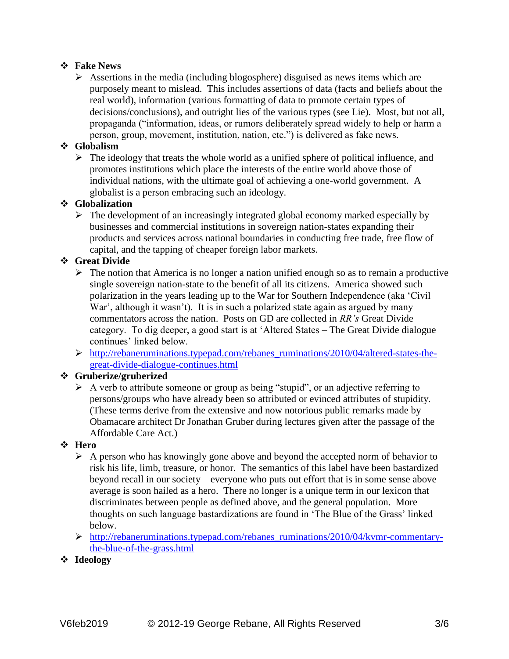#### ❖ **Fake News**

 $\triangleright$  Assertions in the media (including blogosphere) disguised as news items which are purposely meant to mislead. This includes assertions of data (facts and beliefs about the real world), information (various formatting of data to promote certain types of decisions/conclusions), and outright lies of the various types (see Lie). Most, but not all, propaganda ("information, ideas, or rumors deliberately spread widely to help or harm a person, group, movement, institution, nation, etc.") is delivered as fake news.

### ❖ **Globalism**

 $\triangleright$  The ideology that treats the whole world as a unified sphere of political influence, and promotes institutions which place the interests of the entire world above those of individual nations, with the ultimate goal of achieving a one-world government. A globalist is a person embracing such an ideology.

#### ❖ **Globalization**

➢ The development of an increasingly integrated global economy marked especially by businesses and commercial institutions in sovereign nation-states expanding their products and services across national boundaries in conducting free trade, free flow of capital, and the tapping of cheaper foreign labor markets.

### ❖ **Great Divide**

- $\triangleright$  The notion that America is no longer a nation unified enough so as to remain a productive single sovereign nation-state to the benefit of all its citizens. America showed such polarization in the years leading up to the War for Southern Independence (aka 'Civil War', although it wasn't). It is in such a polarized state again as argued by many commentators across the nation. Posts on GD are collected in *RR's* Great Divide category. To dig deeper, a good start is at 'Altered States – The Great Divide dialogue continues' linked below.
- ➢ [http://rebaneruminations.typepad.com/rebanes\\_ruminations/2010/04/altered-states-the](http://rebaneruminations.typepad.com/rebanes_ruminations/2010/04/altered-states-the-great-divide-dialogue-continues.html)[great-divide-dialogue-continues.html](http://rebaneruminations.typepad.com/rebanes_ruminations/2010/04/altered-states-the-great-divide-dialogue-continues.html)

#### ❖ **Gruberize/gruberized**

➢ A verb to attribute someone or group as being "stupid", or an adjective referring to persons/groups who have already been so attributed or evinced attributes of stupidity. (These terms derive from the extensive and now notorious public remarks made by Obamacare architect Dr Jonathan Gruber during lectures given after the passage of the Affordable Care Act.)

#### ❖ **Hero**

- $\triangleright$  A person who has knowingly gone above and beyond the accepted norm of behavior to risk his life, limb, treasure, or honor. The semantics of this label have been bastardized beyond recall in our society – everyone who puts out effort that is in some sense above average is soon hailed as a hero. There no longer is a unique term in our lexicon that discriminates between people as defined above, and the general population. More thoughts on such language bastardizations are found in 'The Blue of the Grass' linked below.
- ➢ [http://rebaneruminations.typepad.com/rebanes\\_ruminations/2010/04/kvmr-commentary](http://rebaneruminations.typepad.com/rebanes_ruminations/2010/04/kvmr-commentary-the-blue-of-the-grass.html)[the-blue-of-the-grass.html](http://rebaneruminations.typepad.com/rebanes_ruminations/2010/04/kvmr-commentary-the-blue-of-the-grass.html)
- ❖ **Ideology**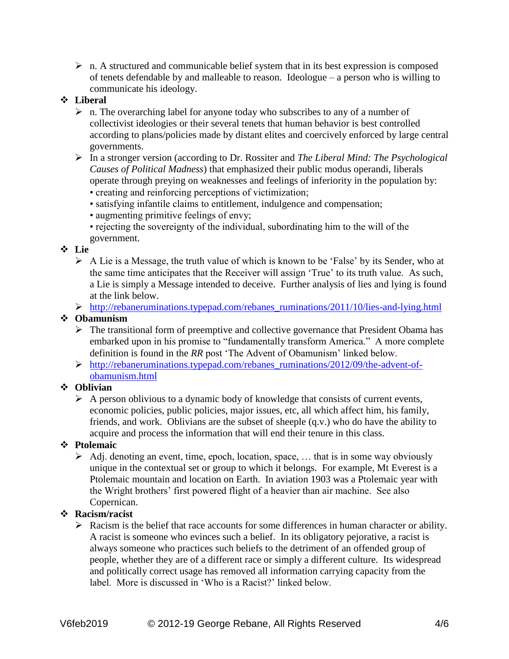$\triangleright$  n. A structured and communicable belief system that in its best expression is composed of tenets defendable by and malleable to reason. Ideologue – a person who is willing to communicate his ideology.

#### ❖ **Liberal**

- $\triangleright$  n. The overarching label for anyone today who subscribes to any of a number of collectivist ideologies or their several tenets that human behavior is best controlled according to plans/policies made by distant elites and coercively enforced by large central governments.
- ➢ In a stronger version (according to Dr. Rossiter and *The Liberal Mind: The Psychological Causes of Political Madness*) that emphasized their public modus operandi, liberals operate through preying on weaknesses and feelings of inferiority in the population by:
	- creating and reinforcing perceptions of victimization;
	- satisfying infantile claims to entitlement, indulgence and compensation;
	- augmenting primitive feelings of envy;
	- rejecting the sovereignty of the individual, subordinating him to the will of the government.

#### ❖ **Lie**

- ➢ A Lie is a Message, the truth value of which is known to be 'False' by its Sender, who at the same time anticipates that the Receiver will assign 'True' to its truth value. As such, a Lie is simply a Message intended to deceive. Further analysis of lies and lying is found at the link below.
- ➢ [http://rebaneruminations.typepad.com/rebanes\\_ruminations/2011/10/lies-and-lying.html](http://rebaneruminations.typepad.com/rebanes_ruminations/2011/10/lies-and-lying.html)

#### ❖ **Obamunism**

- ➢ The transitional form of preemptive and collective governance that President Obama has embarked upon in his promise to "fundamentally transform America." A more complete definition is found in the *RR* post 'The Advent of Obamunism' linked below.
- ➢ [http://rebaneruminations.typepad.com/rebanes\\_ruminations/2012/09/the-advent-of](http://rebaneruminations.typepad.com/rebanes_ruminations/2012/09/the-advent-of-obamunism.html)[obamunism.html](http://rebaneruminations.typepad.com/rebanes_ruminations/2012/09/the-advent-of-obamunism.html)

#### ❖ **Oblivian**

 $\triangleright$  A person oblivious to a dynamic body of knowledge that consists of current events, economic policies, public policies, major issues, etc, all which affect him, his family, friends, and work. Oblivians are the subset of sheeple (q.v.) who do have the ability to acquire and process the information that will end their tenure in this class.

#### ❖ **Ptolemaic**

➢ Adj. denoting an event, time, epoch, location, space, … that is in some way obviously unique in the contextual set or group to which it belongs. For example, Mt Everest is a Ptolemaic mountain and location on Earth. In aviation 1903 was a Ptolemaic year with the Wright brothers' first powered flight of a heavier than air machine. See also Copernican.

#### ❖ **Racism/racist**

➢ Racism is the belief that race accounts for some differences in human character or ability. A racist is someone who evinces such a belief. In its obligatory pejorative, a racist is always someone who practices such beliefs to the detriment of an offended group of people, whether they are of a different race or simply a different culture. Its widespread and politically correct usage has removed all information carrying capacity from the label. More is discussed in 'Who is a Racist?' linked below.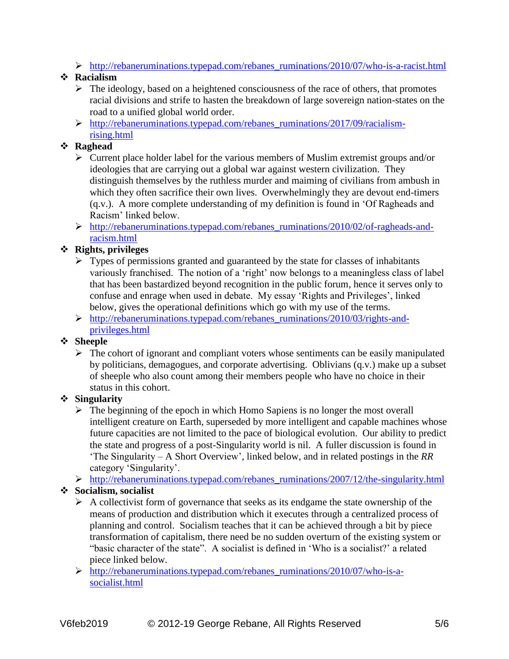$\triangleright$  [http://rebaneruminations.typepad.com/rebanes\\_ruminations/2010/07/who-is-a-racist.html](http://rebaneruminations.typepad.com/rebanes_ruminations/2010/07/who-is-a-racist.html)

## ❖ **Racialism**

- ➢ The ideology, based on a heightened consciousness of the race of others, that promotes racial divisions and strife to hasten the breakdown of large sovereign nation-states on the road to a unified global world order.
- ➢ [http://rebaneruminations.typepad.com/rebanes\\_ruminations/2017/09/racialism](http://rebaneruminations.typepad.com/rebanes_ruminations/2017/09/racialism-rising.html)[rising.html](http://rebaneruminations.typepad.com/rebanes_ruminations/2017/09/racialism-rising.html)

## ❖ **Raghead**

- ➢ Current place holder label for the various members of Muslim extremist groups and/or ideologies that are carrying out a global war against western civilization. They distinguish themselves by the ruthless murder and maiming of civilians from ambush in which they often sacrifice their own lives. Overwhelmingly they are devout end-timers (q.v.). A more complete understanding of my definition is found in 'Of Ragheads and Racism' linked below.
- ➢ [http://rebaneruminations.typepad.com/rebanes\\_ruminations/2010/02/of-ragheads-and](http://rebaneruminations.typepad.com/rebanes_ruminations/2010/02/of-ragheads-and-racism.html)[racism.html](http://rebaneruminations.typepad.com/rebanes_ruminations/2010/02/of-ragheads-and-racism.html)

## ❖ **Rights, privileges**

- $\triangleright$  Types of permissions granted and guaranteed by the state for classes of inhabitants variously franchised. The notion of a 'right' now belongs to a meaningless class of label that has been bastardized beyond recognition in the public forum, hence it serves only to confuse and enrage when used in debate. My essay 'Rights and Privileges', linked below, gives the operational definitions which go with my use of the terms.
- ➢ [http://rebaneruminations.typepad.com/rebanes\\_ruminations/2010/03/rights-and](http://rebaneruminations.typepad.com/rebanes_ruminations/2010/03/rights-and-privileges.html)[privileges.html](http://rebaneruminations.typepad.com/rebanes_ruminations/2010/03/rights-and-privileges.html)

### ❖ **Sheeple**

 $\triangleright$  The cohort of ignorant and compliant voters whose sentiments can be easily manipulated by politicians, demagogues, and corporate advertising. Oblivians (q.v.) make up a subset of sheeple who also count among their members people who have no choice in their status in this cohort.

## ❖ **Singularity**

- $\triangleright$  The beginning of the epoch in which Homo Sapiens is no longer the most overall intelligent creature on Earth, superseded by more intelligent and capable machines whose future capacities are not limited to the pace of biological evolution. Our ability to predict the state and progress of a post-Singularity world is nil. A fuller discussion is found in 'The Singularity – A Short Overview', linked below, and in related postings in the *RR* category 'Singularity'.
- ➢ [http://rebaneruminations.typepad.com/rebanes\\_ruminations/2007/12/the-singularity.html](http://rebaneruminations.typepad.com/rebanes_ruminations/2007/12/the-singularity.html)

## ❖ **Socialism, socialist**

- ➢ A collectivist form of governance that seeks as its endgame the state ownership of the means of production and distribution which it executes through a centralized process of planning and control. Socialism teaches that it can be achieved through a bit by piece transformation of capitalism, there need be no sudden overturn of the existing system or "basic character of the state". A socialist is defined in 'Who is a socialist?' a related piece linked below.
- ➢ [http://rebaneruminations.typepad.com/rebanes\\_ruminations/2010/07/who-is-a](http://rebaneruminations.typepad.com/rebanes_ruminations/2010/07/who-is-a-socialist.html)[socialist.html](http://rebaneruminations.typepad.com/rebanes_ruminations/2010/07/who-is-a-socialist.html)